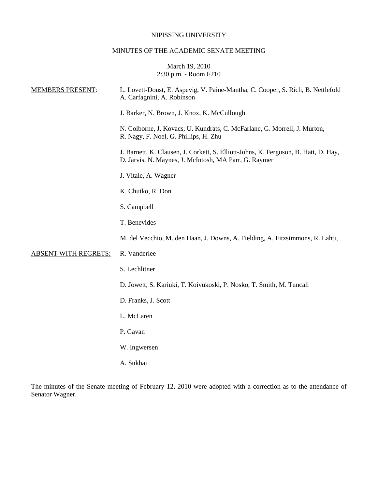## NIPISSING UNIVERSITY

## MINUTES OF THE ACADEMIC SENATE MEETING

# March 19, 2010 2:30 p.m. - Room F210

| <b>MEMBERS PRESENT:</b>     | L. Lovett-Doust, E. Aspevig, V. Paine-Mantha, C. Cooper, S. Rich, B. Nettlefold<br>A. Carfagnini, A. Robinson                                |  |
|-----------------------------|----------------------------------------------------------------------------------------------------------------------------------------------|--|
|                             | J. Barker, N. Brown, J. Knox, K. McCullough                                                                                                  |  |
|                             | N. Colborne, J. Kovacs, U. Kundrats, C. McFarlane, G. Morrell, J. Murton,<br>R. Nagy, F. Noel, G. Phillips, H. Zhu                           |  |
|                             | J. Barnett, K. Clausen, J. Corkett, S. Elliott-Johns, K. Ferguson, B. Hatt, D. Hay,<br>D. Jarvis, N. Maynes, J. McIntosh, MA Parr, G. Raymer |  |
|                             | J. Vitale, A. Wagner                                                                                                                         |  |
|                             | K. Chutko, R. Don                                                                                                                            |  |
|                             | S. Campbell                                                                                                                                  |  |
|                             | T. Benevides                                                                                                                                 |  |
|                             | M. del Vecchio, M. den Haan, J. Downs, A. Fielding, A. Fitzsimmons, R. Lahti,                                                                |  |
| <b>ABSENT WITH REGRETS:</b> | R. Vanderlee                                                                                                                                 |  |
|                             | S. Lechlitner                                                                                                                                |  |
|                             | D. Jowett, S. Kariuki, T. Koivukoski, P. Nosko, T. Smith, M. Tuncali                                                                         |  |
|                             | D. Franks, J. Scott                                                                                                                          |  |
|                             | L. McLaren                                                                                                                                   |  |
|                             | P. Gavan                                                                                                                                     |  |
|                             | W. Ingwersen                                                                                                                                 |  |
|                             |                                                                                                                                              |  |

A. Sukhai

The minutes of the Senate meeting of February 12, 2010 were adopted with a correction as to the attendance of Senator Wagner.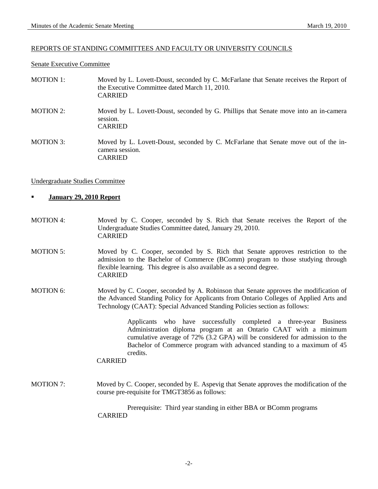#### REPORTS OF STANDING COMMITTEES AND FACULTY OR UNIVERSITY COUNCILS

#### Senate Executive Committee

| <b>MOTION 1:</b> | Moved by L. Lovett-Doust, seconded by C. McFarlane that Senate receives the Report of<br>the Executive Committee dated March 11, 2010.<br><b>CARRIED</b> |
|------------------|----------------------------------------------------------------------------------------------------------------------------------------------------------|
| <b>MOTION 2:</b> | Moved by L. Lovett-Doust, seconded by G. Phillips that Senate move into an in-camera<br>session.<br><b>CARRIED</b>                                       |
| <b>MOTION 3:</b> | Moved by L. Lovett-Doust, seconded by C. McFarlane that Senate move out of the in-<br>camera session.<br>CARRIED                                         |

#### Undergraduate Studies Committee

- **January 29, 2010 Report**
- MOTION 4: Moved by C. Cooper, seconded by S. Rich that Senate receives the Report of the Undergraduate Studies Committee dated, January 29, 2010. CARRIED
- MOTION 5: Moved by C. Cooper, seconded by S. Rich that Senate approves restriction to the admission to the Bachelor of Commerce (BComm) program to those studying through flexible learning. This degree is also available as a second degree. CARRIED
- MOTION 6: Moved by C. Cooper, seconded by A. Robinson that Senate approves the modification of the Advanced Standing Policy for Applicants from Ontario Colleges of Applied Arts and Technology (CAAT): Special Advanced Standing Policies section as follows:

Applicants who have successfully completed a three-year Business Administration diploma program at an Ontario CAAT with a minimum cumulative average of 72% (3.2 GPA) will be considered for admission to the Bachelor of Commerce program with advanced standing to a maximum of 45 credits.

#### CARRIED

MOTION 7: Moved by C. Cooper, seconded by E. Aspevig that Senate approves the modification of the course pre-requisite for TMGT3856 as follows:

> Prerequisite: Third year standing in either BBA or BComm programs CARRIED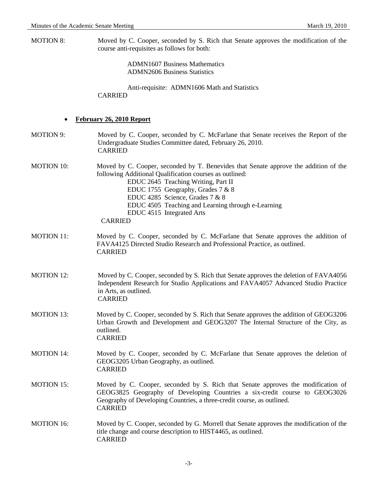MOTION 8: Moved by C. Cooper, seconded by S. Rich that Senate approves the modification of the course anti-requisites as follows for both:

> ADMN1607 Business Mathematics ADMN2606 Business Statistics

Anti-requisite: ADMN1606 Math and Statistics CARRIED

# • **February 26, 2010 Report**

| <b>MOTION 9:</b>  | Moved by C. Cooper, seconded by C. McFarlane that Senate receives the Report of the<br>Undergraduate Studies Committee dated, February 26, 2010.<br><b>CARRIED</b>                                                                                                                                                                                                  |  |  |
|-------------------|---------------------------------------------------------------------------------------------------------------------------------------------------------------------------------------------------------------------------------------------------------------------------------------------------------------------------------------------------------------------|--|--|
| <b>MOTION 10:</b> | Moved by C. Cooper, seconded by T. Benevides that Senate approve the addition of the<br>following Additional Qualification courses as outlined:<br>EDUC 2645 Teaching Writing, Part II<br>EDUC 1755 Geography, Grades 7 & 8<br>EDUC 4285 Science, Grades 7 & 8<br>EDUC 4505 Teaching and Learning through e-Learning<br>EDUC 4515 Integrated Arts<br><b>CARRIED</b> |  |  |
| <b>MOTION 11:</b> | Moved by C. Cooper, seconded by C. McFarlane that Senate approves the addition of<br>FAVA4125 Directed Studio Research and Professional Practice, as outlined.<br><b>CARRIED</b>                                                                                                                                                                                    |  |  |
| <b>MOTION 12:</b> | Moved by C. Cooper, seconded by S. Rich that Senate approves the deletion of FAVA4056<br>Independent Research for Studio Applications and FAVA4057 Advanced Studio Practice<br>in Arts, as outlined.<br><b>CARRIED</b>                                                                                                                                              |  |  |
| <b>MOTION 13:</b> | Moved by C. Cooper, seconded by S. Rich that Senate approves the addition of GEOG3206<br>Urban Growth and Development and GEOG3207 The Internal Structure of the City, as<br>outlined.<br><b>CARRIED</b>                                                                                                                                                            |  |  |
| <b>MOTION 14:</b> | Moved by C. Cooper, seconded by C. McFarlane that Senate approves the deletion of<br>GEOG3205 Urban Geography, as outlined.<br><b>CARRIED</b>                                                                                                                                                                                                                       |  |  |
| <b>MOTION 15:</b> | Moved by C. Cooper, seconded by S. Rich that Senate approves the modification of<br>GEOG3825 Geography of Developing Countries a six-credit course to GEOG3026<br>Geography of Developing Countries, a three-credit course, as outlined.<br><b>CARRIED</b>                                                                                                          |  |  |
| <b>MOTION 16:</b> | Moved by C. Cooper, seconded by G. Morrell that Senate approves the modification of the<br>title change and course description to HIST4465, as outlined.<br><b>CARRIED</b>                                                                                                                                                                                          |  |  |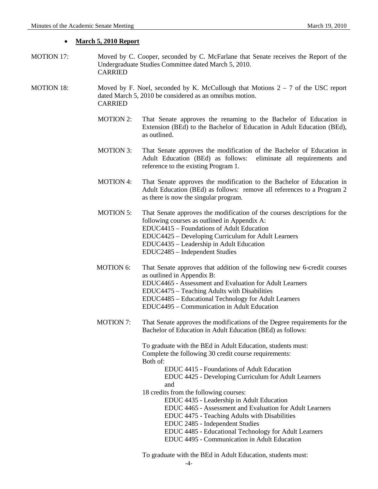#### • **March 5, 2010 Report**

- MOTION 17: Moved by C. Cooper, seconded by C. McFarlane that Senate receives the Report of the Undergraduate Studies Committee dated March 5, 2010. CARRIED
- MOTION 18: Moved by F. Noel, seconded by K. McCullough that Motions  $2 7$  of the USC report dated March 5, 2010 be considered as an omnibus motion. CARRIED
	- MOTION 2: That Senate approves the renaming to the Bachelor of Education in Extension (BEd) to the Bachelor of Education in Adult Education (BEd), as outlined.
	- MOTION 3: That Senate approves the modification of the Bachelor of Education in Adult Education (BEd) as follows: eliminate all requirements and reference to the existing Program 1.
	- MOTION 4: That Senate approves the modification to the Bachelor of Education in Adult Education (BEd) as follows: remove all references to a Program 2 as there is now the singular program.
	- MOTION 5: That Senate approves the modification of the courses descriptions for the following courses as outlined in Appendix A: EDUC4415 – Foundations of Adult Education EDUC4425 – Developing Curriculum for Adult Learners EDUC4435 – Leadership in Adult Education EDUC2485 – Independent Studies
	- MOTION 6: That Senate approves that addition of the following new 6-credit courses as outlined in Appendix B: EDUC4465 - Assessment and Evaluation for Adult Learners EDUC4475 – Teaching Adults with Disabilities EDUC4485 – Educational Technology for Adult Learners EDUC4495 – Communication in Adult Education
	- MOTION 7: That Senate approves the modifications of the Degree requirements for the Bachelor of Education in Adult Education (BEd) as follows:

To graduate with the BEd in Adult Education, students must: Complete the following 30 credit course requirements: Both of:

> EDUC 4415 - Foundations of Adult Education EDUC 4425 - Developing Curriculum for Adult Learners and

18 credits from the following courses:

EDUC 4435 - Leadership in Adult Education EDUC 4465 - Assessment and Evaluation for Adult Learners EDUC 4475 - Teaching Adults with Disabilities EDUC 2485 - Independent Studies EDUC 4485 - Educational Technology for Adult Learners EDUC 4495 - Communication in Adult Education

To graduate with the BEd in Adult Education, students must: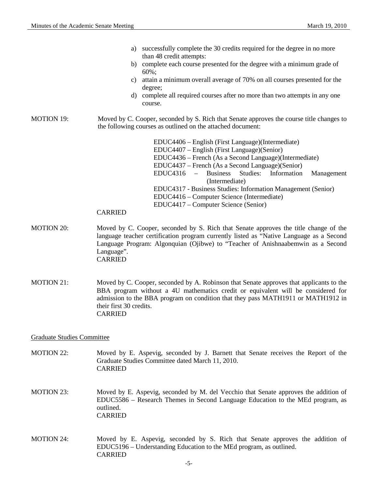|                   | a)<br>b)<br>C)<br>d) | successfully complete the 30 credits required for the degree in no more<br>than 48 credit attempts:<br>complete each course presented for the degree with a minimum grade of<br>$60\%$ ;<br>attain a minimum overall average of 70% on all courses presented for the<br>degree;<br>complete all required courses after no more than two attempts in any one<br>course. |
|-------------------|----------------------|------------------------------------------------------------------------------------------------------------------------------------------------------------------------------------------------------------------------------------------------------------------------------------------------------------------------------------------------------------------------|
| <b>MOTION 19:</b> |                      | Moved by C. Cooper, seconded by S. Rich that Senate approves the course title changes to<br>the following courses as outlined on the attached document:<br>EDUC4406 – English (First Language) (Intermediate)                                                                                                                                                          |
|                   |                      | EDUC4407 – English (First Language) (Senior)                                                                                                                                                                                                                                                                                                                           |
|                   |                      | EDUC4436 – French (As a Second Language)(Intermediate)                                                                                                                                                                                                                                                                                                                 |
|                   |                      | EDUC4437 – French (As a Second Language)(Senior)                                                                                                                                                                                                                                                                                                                       |
|                   |                      | $EDUC4316$ – Business Studies:<br>Information<br>Management<br>(Intermediate)                                                                                                                                                                                                                                                                                          |
|                   |                      | EDUC4317 - Business Studies: Information Management (Senior)                                                                                                                                                                                                                                                                                                           |
|                   |                      | EDUC4416 – Computer Science (Intermediate)                                                                                                                                                                                                                                                                                                                             |
|                   |                      | EDUC4417 – Computer Science (Senior)                                                                                                                                                                                                                                                                                                                                   |
|                   | <b>CARRIED</b>       |                                                                                                                                                                                                                                                                                                                                                                        |

- MOTION 20: Moved by C. Cooper, seconded by S. Rich that Senate approves the title change of the language teacher certification program currently listed as "Native Language as a Second Language Program: Algonquian (Ojibwe) to "Teacher of Anishnaabemwin as a Second Language". CARRIED
- MOTION 21: Moved by C. Cooper, seconded by A. Robinson that Senate approves that applicants to the BBA program without a 4U mathematics credit or equivalent will be considered for admission to the BBA program on condition that they pass MATH1911 or MATH1912 in their first 30 credits. CARRIED

Graduate Studies Committee

- MOTION 22: Moved by E. Aspevig, seconded by J. Barnett that Senate receives the Report of the Graduate Studies Committee dated March 11, 2010. CARRIED
- MOTION 23: Moved by E. Aspevig, seconded by M. del Vecchio that Senate approves the addition of EDUC5586 – Research Themes in Second Language Education to the MEd program, as outlined. CARRIED
- MOTION 24: Moved by E. Aspevig, seconded by S. Rich that Senate approves the addition of EDUC5196 – Understanding Education to the MEd program, as outlined. CARRIED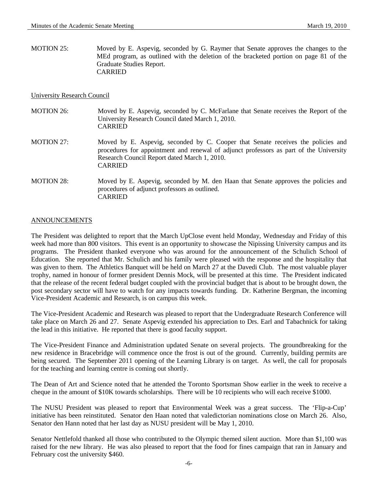MOTION 25: Moved by E. Aspevig, seconded by G. Raymer that Senate approves the changes to the MEd program, as outlined with the deletion of the bracketed portion on page 81 of the Graduate Studies Report. CARRIED

#### University Research Council

| <b>MOTION 26:</b> | Moved by E. Aspevig, seconded by C. McFarlane that Senate receives the Report of the<br>University Research Council dated March 1, 2010.<br><b>CARRIED</b>                                                                                   |
|-------------------|----------------------------------------------------------------------------------------------------------------------------------------------------------------------------------------------------------------------------------------------|
| <b>MOTION 27:</b> | Moved by E. Aspevig, seconded by C. Cooper that Senate receives the policies and<br>procedures for appointment and renewal of adjunct professors as part of the University<br>Research Council Report dated March 1, 2010.<br><b>CARRIED</b> |
| <b>MOTION 28:</b> | Moved by E. Aspevig, seconded by M. den Haan that Senate approves the policies and<br>procedures of adjunct professors as outlined.<br><b>CARRIED</b>                                                                                        |

## ANNOUNCEMENTS

The President was delighted to report that the March UpClose event held Monday, Wednesday and Friday of this week had more than 800 visitors. This event is an opportunity to showcase the Nipissing University campus and its programs. The President thanked everyone who was around for the announcement of the Schulich School of Education. She reported that Mr. Schulich and his family were pleased with the response and the hospitality that was given to them. The Athletics Banquet will be held on March 27 at the Davedi Club. The most valuable player trophy, named in honour of former president Dennis Mock, will be presented at this time. The President indicated that the release of the recent federal budget coupled with the provincial budget that is about to be brought down, the post secondary sector will have to watch for any impacts towards funding. Dr. Katherine Bergman, the incoming Vice-President Academic and Research, is on campus this week.

The Vice-President Academic and Research was pleased to report that the Undergraduate Research Conference will take place on March 26 and 27. Senate Aspevig extended his appreciation to Drs. Earl and Tabachnick for taking the lead in this initiative. He reported that there is good faculty support.

The Vice-President Finance and Administration updated Senate on several projects. The groundbreaking for the new residence in Bracebridge will commence once the frost is out of the ground. Currently, building permits are being secured. The September 2011 opening of the Learning Library is on target. As well, the call for proposals for the teaching and learning centre is coming out shortly.

The Dean of Art and Science noted that he attended the Toronto Sportsman Show earlier in the week to receive a cheque in the amount of \$10K towards scholarships. There will be 10 recipients who will each receive \$1000.

The NUSU President was pleased to report that Environmental Week was a great success. The 'Flip-a-Cup' initiative has been reinstituted. Senator den Haan noted that valedictorian nominations close on March 26. Also, Senator den Hann noted that her last day as NUSU president will be May 1, 2010.

Senator Nettlefold thanked all those who contributed to the Olympic themed silent auction. More than \$1,100 was raised for the new library. He was also pleased to report that the food for fines campaign that ran in January and February cost the university \$460.